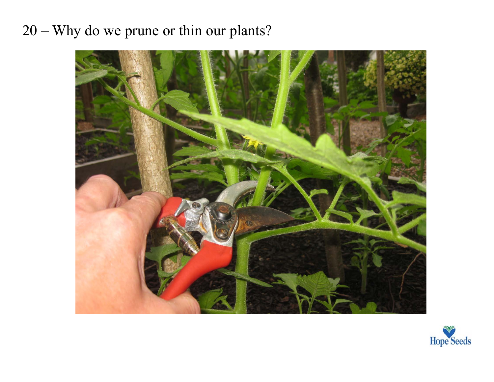## 20 – Why do we prune or thin our plants?



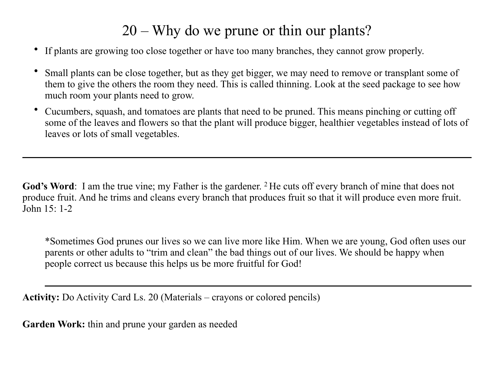## 20 – Why do we prune or thin our plants?

- If plants are growing too close together or have too many branches, they cannot grow properly.
- Small plants can be close together, but as they get bigger, we may need to remove or transplant some of them to give the others the room they need. This is called thinning. Look at the seed package to see how much room your plants need to grow.
- Cucumbers, squash, and tomatoes are plants that need to be pruned. This means pinching or cutting off some of the leaves and flowers so that the plant will produce bigger, healthier vegetables instead of lots of leaves or lots of small vegetables.

God's Word: I am the true vine; my Father is the gardener. <sup>2</sup> He cuts off every branch of mine that does not produce fruit. And he trims and cleans every branch that produces fruit so that it will produce even more fruit. John 15: 1-2

\*Sometimes God prunes our lives so we can live more like Him. When we are young, God often uses our parents or other adults to "trim and clean" the bad things out of our lives. We should be happy when people correct us because this helps us be more fruitful for God!

**Activity:** Do Activity Card Ls. 20 (Materials – crayons or colored pencils)

**Garden Work:** thin and prune your garden as needed